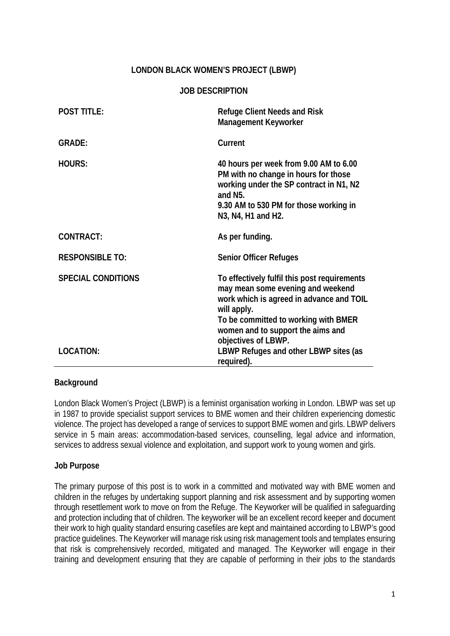## **LONDON BLACK WOMEN'S PROJECT (LBWP)**

### **JOB DESCRIPTION**

| <b>POST TITLE:</b>                            | <b>Refuge Client Needs and Risk</b><br><b>Management Keyworker</b>                                                                                                                                                                                                                        |
|-----------------------------------------------|-------------------------------------------------------------------------------------------------------------------------------------------------------------------------------------------------------------------------------------------------------------------------------------------|
| <b>GRADE:</b>                                 | Current                                                                                                                                                                                                                                                                                   |
| <b>HOURS:</b>                                 | 40 hours per week from 9.00 AM to 6.00<br>PM with no change in hours for those<br>working under the SP contract in N1, N2<br>and N <sub>5</sub> .<br>9.30 AM to 530 PM for those working in<br>N <sub>3</sub> , N <sub>4</sub> , H <sub>1</sub> and H <sub>2</sub> .                      |
| <b>CONTRACT:</b>                              | As per funding.                                                                                                                                                                                                                                                                           |
| <b>RESPONSIBLE TO:</b>                        | <b>Senior Officer Refuges</b>                                                                                                                                                                                                                                                             |
| <b>SPECIAL CONDITIONS</b><br><b>LOCATION:</b> | To effectively fulfil this post requirements<br>may mean some evening and weekend<br>work which is agreed in advance and TOIL<br>will apply.<br>To be committed to working with BMER<br>women and to support the aims and<br>objectives of LBWP.<br>LBWP Refuges and other LBWP sites (as |
|                                               | required).                                                                                                                                                                                                                                                                                |

### **Background**

London Black Women's Project (LBWP) is a feminist organisation working in London. LBWP was set up in 1987 to provide specialist support services to BME women and their children experiencing domestic violence. The project has developed a range of services to support BME women and girls. LBWP delivers service in 5 main areas: accommodation-based services, counselling, legal advice and information, services to address sexual violence and exploitation, and support work to young women and girls.

#### **Job Purpose**

The primary purpose of this post is to work in a committed and motivated way with BME women and children in the refuges by undertaking support planning and risk assessment and by supporting women through resettlement work to move on from the Refuge. The Keyworker will be qualified in safeguarding and protection including that of children. The keyworker will be an excellent record keeper and document their work to high quality standard ensuring casefiles are kept and maintained according to LBWP's good practice guidelines. The Keyworker will manage risk using risk management tools and templates ensuring that risk is comprehensively recorded, mitigated and managed. The Keyworker will engage in their training and development ensuring that they are capable of performing in their jobs to the standards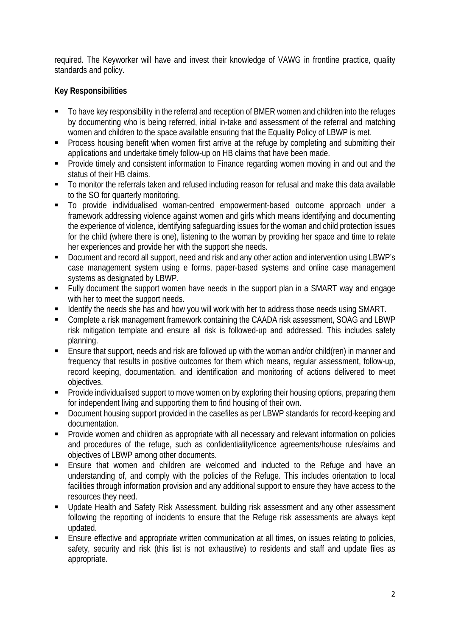required. The Keyworker will have and invest their knowledge of VAWG in frontline practice, quality standards and policy.

# **Key Responsibilities**

- To have key responsibility in the referral and reception of BMER women and children into the refuges by documenting who is being referred, initial in-take and assessment of the referral and matching women and children to the space available ensuring that the Equality Policy of LBWP is met.
- Process housing benefit when women first arrive at the refuge by completing and submitting their applications and undertake timely follow-up on HB claims that have been made.
- **Provide timely and consistent information to Finance regarding women moving in and out and the** status of their HB claims.
- To monitor the referrals taken and refused including reason for refusal and make this data available to the SO for quarterly monitoring.
- To provide individualised woman-centred empowerment-based outcome approach under a framework addressing violence against women and girls which means identifying and documenting the experience of violence, identifying safeguarding issues for the woman and child protection issues for the child (where there is one), listening to the woman by providing her space and time to relate her experiences and provide her with the support she needs.
- Document and record all support, need and risk and any other action and intervention using LBWP's case management system using e forms, paper-based systems and online case management systems as designated by LBWP.
- Fully document the support women have needs in the support plan in a SMART way and engage with her to meet the support needs.
- Identify the needs she has and how you will work with her to address those needs using SMART.
- Complete a risk management framework containing the CAADA risk assessment, SOAG and LBWP risk mitigation template and ensure all risk is followed-up and addressed. This includes safety planning.
- Ensure that support, needs and risk are followed up with the woman and/or child(ren) in manner and frequency that results in positive outcomes for them which means, regular assessment, follow-up, record keeping, documentation, and identification and monitoring of actions delivered to meet objectives.
- **Provide individualised support to move women on by exploring their housing options, preparing them** for independent living and supporting them to find housing of their own.
- Document housing support provided in the casefiles as per LBWP standards for record-keeping and documentation.
- **Provide women and children as appropriate with all necessary and relevant information on policies** and procedures of the refuge, such as confidentiality/licence agreements/house rules/aims and objectives of LBWP among other documents.
- Ensure that women and children are welcomed and inducted to the Refuge and have an understanding of, and comply with the policies of the Refuge. This includes orientation to local facilities through information provision and any additional support to ensure they have access to the resources they need.
- Update Health and Safety Risk Assessment, building risk assessment and any other assessment following the reporting of incidents to ensure that the Refuge risk assessments are always kept updated.
- Ensure effective and appropriate written communication at all times, on issues relating to policies, safety, security and risk (this list is not exhaustive) to residents and staff and update files as appropriate.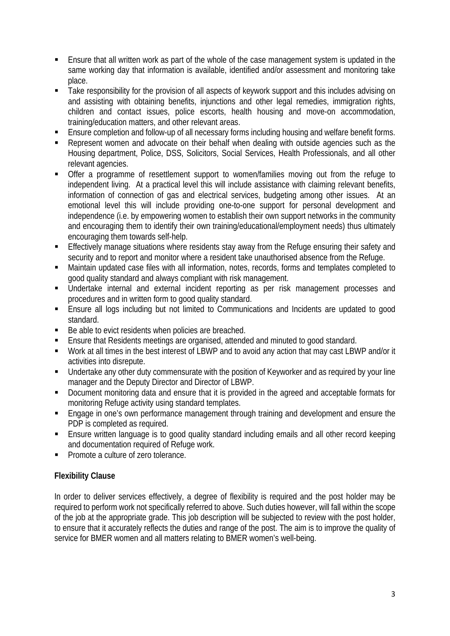- Ensure that all written work as part of the whole of the case management system is updated in the same working day that information is available, identified and/or assessment and monitoring take place.
- Take responsibility for the provision of all aspects of keywork support and this includes advising on and assisting with obtaining benefits, injunctions and other legal remedies, immigration rights, children and contact issues, police escorts, health housing and move-on accommodation, training/education matters, and other relevant areas.
- Ensure completion and follow-up of all necessary forms including housing and welfare benefit forms.
- Represent women and advocate on their behalf when dealing with outside agencies such as the Housing department, Police, DSS, Solicitors, Social Services, Health Professionals, and all other relevant agencies.
- Offer a programme of resettlement support to women/families moving out from the refuge to independent living. At a practical level this will include assistance with claiming relevant benefits, information of connection of gas and electrical services, budgeting among other issues. At an emotional level this will include providing one-to-one support for personal development and independence (i.e. by empowering women to establish their own support networks in the community and encouraging them to identify their own training/educational/employment needs) thus ultimately encouraging them towards self-help.
- **Effectively manage situations where residents stay away from the Refuge ensuring their safety and** security and to report and monitor where a resident take unauthorised absence from the Refuge.
- Maintain updated case files with all information, notes, records, forms and templates completed to good quality standard and always compliant with risk management.
- Undertake internal and external incident reporting as per risk management processes and procedures and in written form to good quality standard.
- Ensure all logs including but not limited to Communications and Incidents are updated to good standard.
- Be able to evict residents when policies are breached.
- Ensure that Residents meetings are organised, attended and minuted to good standard.
- Work at all times in the best interest of LBWP and to avoid any action that may cast LBWP and/or it activities into disrepute.
- Undertake any other duty commensurate with the position of Keyworker and as required by your line manager and the Deputy Director and Director of LBWP.
- Document monitoring data and ensure that it is provided in the agreed and acceptable formats for monitoring Refuge activity using standard templates.
- Engage in one's own performance management through training and development and ensure the PDP is completed as required.
- Ensure written language is to good quality standard including emails and all other record keeping and documentation required of Refuge work.
- Promote a culture of zero tolerance.

# **Flexibility Clause**

In order to deliver services effectively, a degree of flexibility is required and the post holder may be required to perform work not specifically referred to above. Such duties however, will fall within the scope of the job at the appropriate grade. This job description will be subjected to review with the post holder, to ensure that it accurately reflects the duties and range of the post. The aim is to improve the quality of service for BMER women and all matters relating to BMER women's well-being.